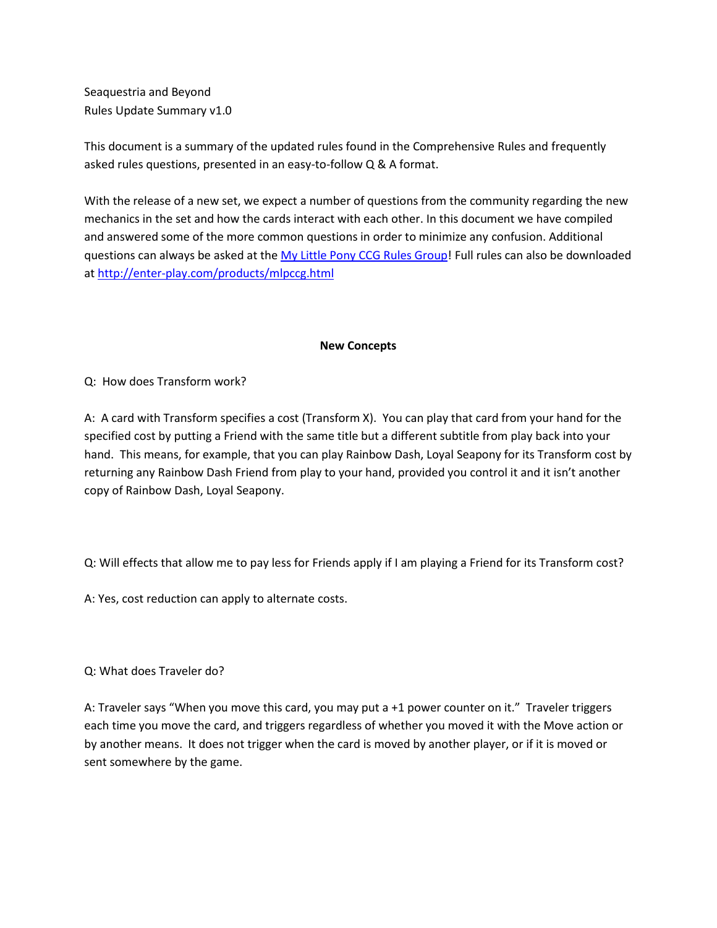Seaquestria and Beyond Rules Update Summary v1.0

This document is a summary of the updated rules found in the Comprehensive Rules and frequently asked rules questions, presented in an easy-to-follow Q & A format.

With the release of a new set, we expect a number of questions from the community regarding the new mechanics in the set and how the cards interact with each other. In this document we have compiled and answered some of the more common questions in order to minimize any confusion. Additional questions can always be asked at th[e My Little Pony CCG Rules Group!](https://www.facebook.com/groups/MyLittlePonyRules/) Full rules can also be downloaded a[t http://enter-play.com/products/mlpccg.html](http://enter-play.com/products/mlpccg.html)

## **New Concepts**

Q: How does Transform work?

A: A card with Transform specifies a cost (Transform X). You can play that card from your hand for the specified cost by putting a Friend with the same title but a different subtitle from play back into your hand. This means, for example, that you can play Rainbow Dash, Loyal Seapony for its Transform cost by returning any Rainbow Dash Friend from play to your hand, provided you control it and it isn't another copy of Rainbow Dash, Loyal Seapony.

Q: Will effects that allow me to pay less for Friends apply if I am playing a Friend for its Transform cost?

A: Yes, cost reduction can apply to alternate costs.

Q: What does Traveler do?

A: Traveler says "When you move this card, you may put a +1 power counter on it." Traveler triggers each time you move the card, and triggers regardless of whether you moved it with the Move action or by another means. It does not trigger when the card is moved by another player, or if it is moved or sent somewhere by the game.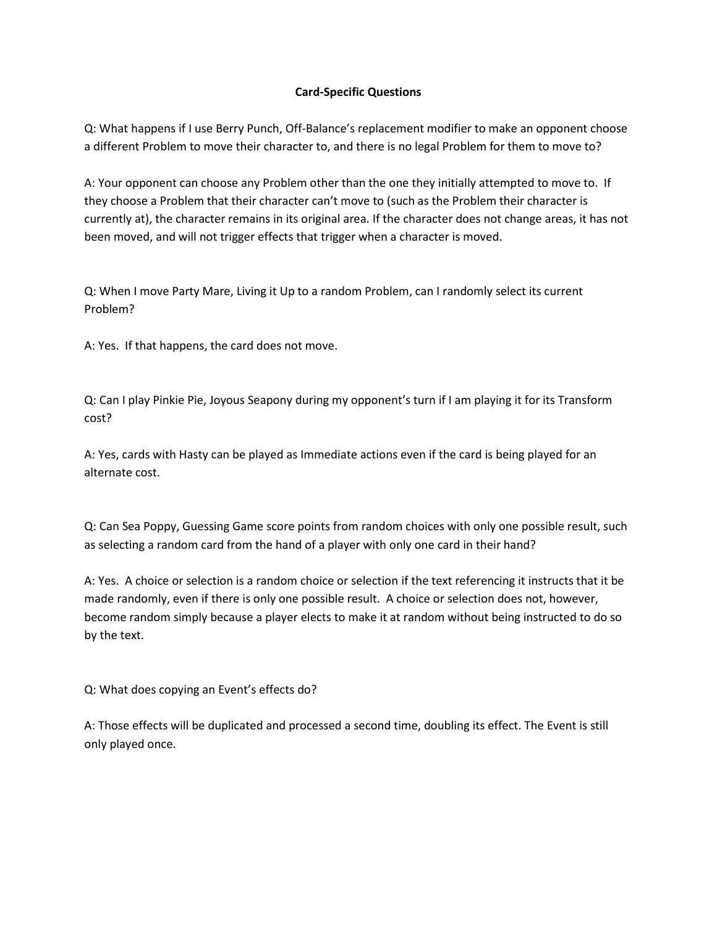## **Card-Specific Questions**

Q: What happens if I use Berry Punch, Off-Balance's replacement modifier to make an opponent choose a different Problem to move their character to, and there is no legal Problem for them to move to?

A: Your opponent can choose any Problem other than the one they initially attempted to move to. If they choose a Problem that their character can't move to (such as the Problem their character is currently at), the character remains in its original area. If the character does not change areas, it has not been moved, and will not trigger effects that trigger when a character is moved.

Q: When I move Party Mare, Living it Up to a random Problem, can I randomly select its current Problem?

A: Yes. If that happens, the card does not move.

Q: Can I play Pinkie Pie, Joyous Seapony during my opponent's turn if I am playing it for its Transform cost?

A: Yes, cards with Hasty can be played as Immediate actions even if the card is being played for an alternate cost.

Q: Can Sea Poppy, Guessing Game score points from random choices with only one possible result, such as selecting a random card from the hand of a player with only one card in their hand?

A: Yes. A choice or selection is a random choice or selection if the text referencing it instructs that it be made randomly, even if there is only one possible result. A choice or selection does not, however, become random simply because a player elects to make it at random without being instructed to do so by the text.

Q: What does copying an Event's effects do?

A: Those effects will be duplicated and processed a second time, doubling its effect. The Event is still only played once.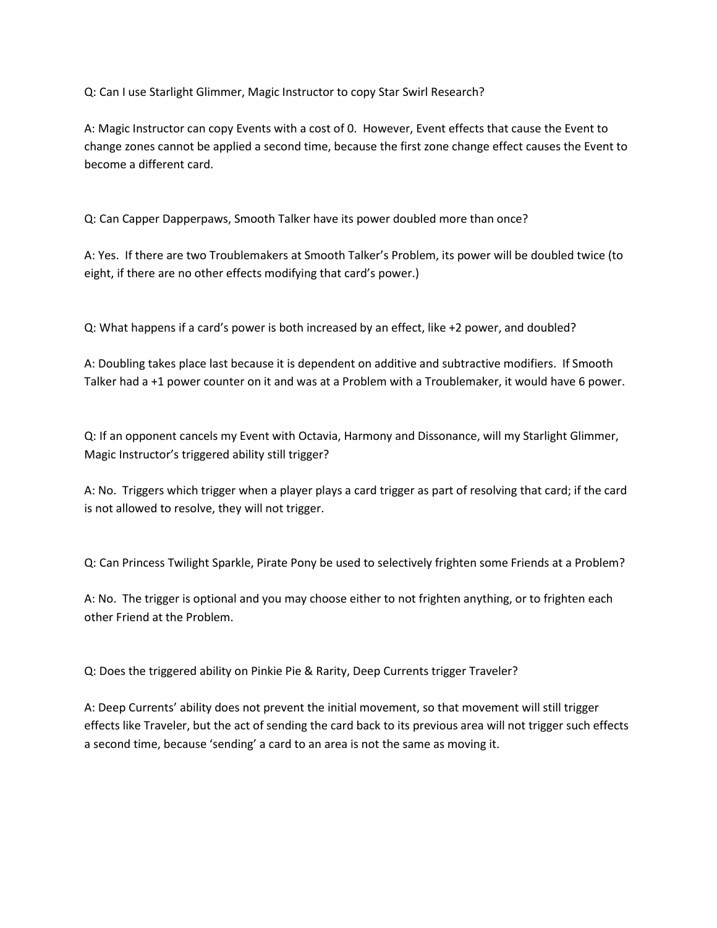Q: Can I use Starlight Glimmer, Magic Instructor to copy Star Swirl Research?

A: Magic Instructor can copy Events with a cost of 0. However, Event effects that cause the Event to change zones cannot be applied a second time, because the first zone change effect causes the Event to become a different card.

Q: Can Capper Dapperpaws, Smooth Talker have its power doubled more than once?

A: Yes. If there are two Troublemakers at Smooth Talker's Problem, its power will be doubled twice (to eight, if there are no other effects modifying that card's power.)

Q: What happens if a card's power is both increased by an effect, like +2 power, and doubled?

A: Doubling takes place last because it is dependent on additive and subtractive modifiers. If Smooth Talker had a +1 power counter on it and was at a Problem with a Troublemaker, it would have 6 power.

Q: If an opponent cancels my Event with Octavia, Harmony and Dissonance, will my Starlight Glimmer, Magic Instructor's triggered ability still trigger?

A: No. Triggers which trigger when a player plays a card trigger as part of resolving that card; if the card is not allowed to resolve, they will not trigger.

Q: Can Princess Twilight Sparkle, Pirate Pony be used to selectively frighten some Friends at a Problem?

A: No. The trigger is optional and you may choose either to not frighten anything, or to frighten each other Friend at the Problem.

Q: Does the triggered ability on Pinkie Pie & Rarity, Deep Currents trigger Traveler?

A: Deep Currents' ability does not prevent the initial movement, so that movement will still trigger effects like Traveler, but the act of sending the card back to its previous area will not trigger such effects a second time, because 'sending' a card to an area is not the same as moving it.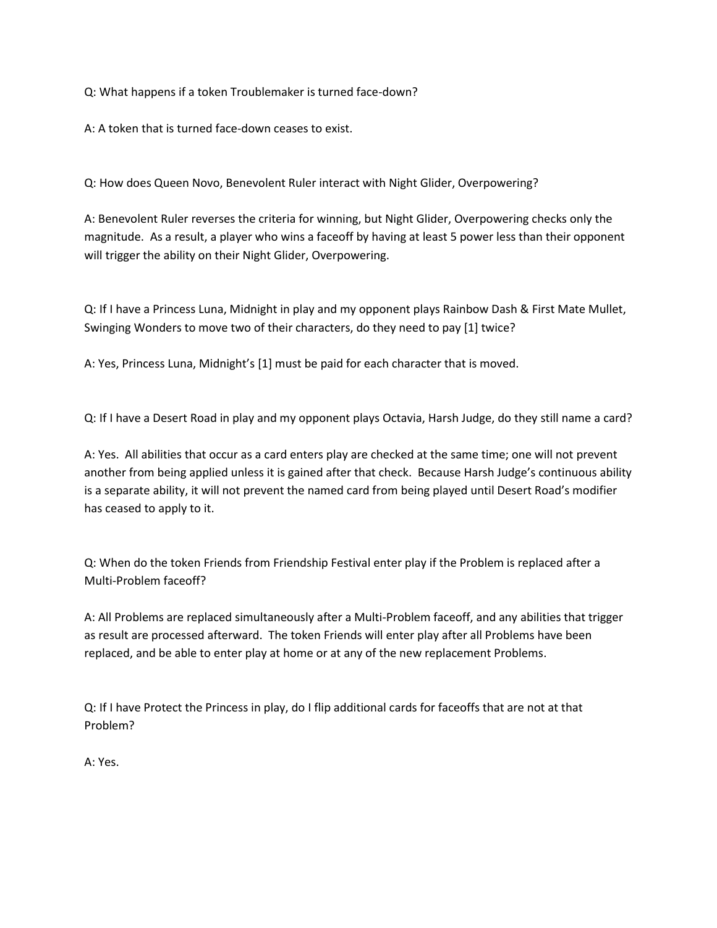Q: What happens if a token Troublemaker is turned face-down?

A: A token that is turned face-down ceases to exist.

Q: How does Queen Novo, Benevolent Ruler interact with Night Glider, Overpowering?

A: Benevolent Ruler reverses the criteria for winning, but Night Glider, Overpowering checks only the magnitude. As a result, a player who wins a faceoff by having at least 5 power less than their opponent will trigger the ability on their Night Glider, Overpowering.

Q: If I have a Princess Luna, Midnight in play and my opponent plays Rainbow Dash & First Mate Mullet, Swinging Wonders to move two of their characters, do they need to pay [1] twice?

A: Yes, Princess Luna, Midnight's [1] must be paid for each character that is moved.

Q: If I have a Desert Road in play and my opponent plays Octavia, Harsh Judge, do they still name a card?

A: Yes. All abilities that occur as a card enters play are checked at the same time; one will not prevent another from being applied unless it is gained after that check. Because Harsh Judge's continuous ability is a separate ability, it will not prevent the named card from being played until Desert Road's modifier has ceased to apply to it.

Q: When do the token Friends from Friendship Festival enter play if the Problem is replaced after a Multi-Problem faceoff?

A: All Problems are replaced simultaneously after a Multi-Problem faceoff, and any abilities that trigger as result are processed afterward. The token Friends will enter play after all Problems have been replaced, and be able to enter play at home or at any of the new replacement Problems.

Q: If I have Protect the Princess in play, do I flip additional cards for faceoffs that are not at that Problem?

A: Yes.